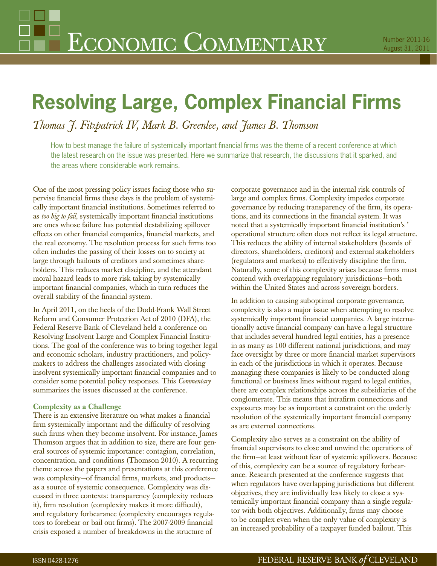# **Resolving Large, Complex Financial Firms**

*Thomas J. Fitzpatrick IV, Mark B. Greenlee, and James B. Thomson*

How to best manage the failure of systemically important financial firms was the theme of a recent conference at which the latest research on the issue was presented. Here we summarize that research, the discussions that it sparked, and the areas where considerable work remains.

One of the most pressing policy issues facing those who supervise financial firms these days is the problem of systemically important financial institutions. Sometimes referred to as *too big to fail*, systemically important financial institutions are ones whose failure has potential destabilizing spillover effects on other financial companies, financial markets, and the real economy. The resolution process for such firms too often includes the passing of their losses on to society at large through bailouts of creditors and sometimes shareholders. This reduces market discipline, and the attendant moral hazard leads to more risk taking by systemically important financial companies, which in turn reduces the overall stability of the financial system.

In April 2011, on the heels of the Dodd-Frank Wall Street Reform and Consumer Protection Act of 2010 (DFA), the Federal Reserve Bank of Cleveland held a conference on Resolving Insolvent Large and Complex Financial Institutions. The goal of the conference was to bring together legal and economic scholars, industry practitioners, and policymakers to address the challenges associated with closing insolvent systemically important financial companies and to consider some potential policy responses. This *Commentary* summarizes the issues discussed at the conference.

## **Complexity as a Challenge**

There is an extensive literature on what makes a financial firm systemically important and the difficulty of resolving such firms when they become insolvent. For instance, James Thomson argues that in addition to size, there are four general sources of systemic importance: contagion, correlation, concentration, and conditions (Thomson 2010). A recurring theme across the papers and presentations at this conference was complexity—of financial firms, markets, and products as a source of systemic consequence. Complexity was discussed in three contexts: transparency (complexity reduces it), firm resolution (complexity makes it more difficult), and regulatory forbearance (complexity encourages regulators to forebear or bail out firms). The 2007-2009 financial crisis exposed a number of breakdowns in the structure of

corporate governance and in the internal risk controls of large and complex firms. Complexity impedes corporate governance by reducing transparency of the firm, its operations, and its connections in the financial system. It was noted that a systemically important financial institution's ' operational structure often does not reflect its legal structure. This reduces the ability of internal stakeholders (boards of directors, shareholders, creditors) and external stakeholders (regulators and markets) to effectively discipline the firm. Naturally, some of this complexity arises because firms must contend with overlapping regulatory jurisdictions—both within the United States and across sovereign borders.

In addition to causing suboptimal corporate governance, complexity is also a major issue when attempting to resolve systemically important financial companies. A large internationally active financial company can have a legal structure that includes several hundred legal entities, has a presence in as many as 100 different national jurisdictions, and may face oversight by three or more financial market supervisors in each of the jurisdictions in which it operates. Because managing these companies is likely to be conducted along functional or business lines without regard to legal entities, there are complex relationships across the subsidiaries of the conglomerate. This means that intrafirm connections and exposures may be as important a constraint on the orderly resolution of the systemically important financial company as are external connections.

Complexity also serves as a constraint on the ability of financial supervisors to close and unwind the operations of the firm—at least without fear of systemic spillovers. Because of this, complexity can be a source of regulatory forbearance. Research presented at the conference suggests that when regulators have overlapping jurisdictions but different objectives, they are individually less likely to close a systemically important financial company than a single regulator with both objectives. Additionally, firms may choose to be complex even when the only value of complexity is an increased probability of a taxpayer funded bailout. This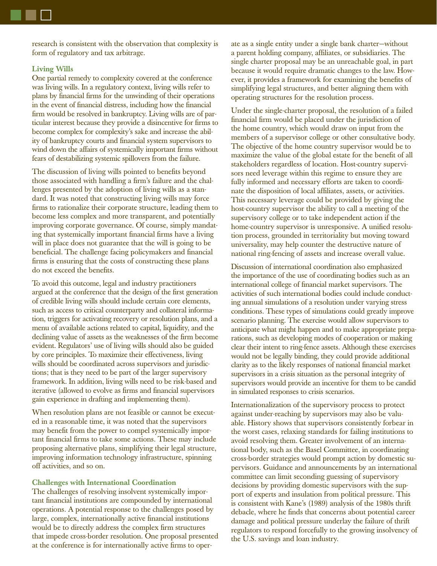research is consistent with the observation that complexity is form of regulatory and tax arbitrage.

## **Living Wills**

One partial remedy to complexity covered at the conference was living wills. In a regulatory context, living wills refer to plans by financial firms for the unwinding of their operations in the event of financial distress, including how the financial firm would be resolved in bankruptcy. Living wills are of particular interest because they provide a disincentive for firms to become complex for complexity's sake and increase the ability of bankruptcy courts and financial system supervisors to wind down the affairs of systemically important firms without fears of destabilizing systemic spillovers from the failure.

The discussion of living wills pointed to benefits beyond those associated with handling a firm's failure and the challenges presented by the adoption of living wills as a standard. It was noted that constructing living wills may force firms to rationalize their corporate structure, leading them to become less complex and more transparent, and potentially improving corporate governance. Of course, simply mandating that systemically important financial firms have a living will in place does not guarantee that the will is going to be beneficial. The challenge facing policymakers and financial firms is ensuring that the costs of constructing these plans do not exceed the benefits.

To avoid this outcome, legal and industry practitioners argued at the conference that the design of the first generation of credible living wills should include certain core elements, such as access to critical counterparty and collateral information, triggers for activating recovery or resolution plans, and a menu of available actions related to capital, liquidity, and the declining value of assets as the weaknesses of the firm become evident. Regulators' use of living wills should also be guided by core principles. To maximize their effectiveness, living wills should be coordinated across supervisors and jurisdictions; that is they need to be part of the larger supervisory framework. In addition, living wills need to be risk-based and iterative (allowed to evolve as firms and financial supervisors gain experience in drafting and implementing them).

When resolution plans are not feasible or cannot be executed in a reasonable time, it was noted that the supervisors may benefit from the power to compel systemically important financial firms to take some actions. These may include proposing alternative plans, simplifying their legal structure, improving information technology infrastructure, spinning off activities, and so on.

### **Challenges with International Coordination**

The challenges of resolving insolvent systemically important financial institutions are compounded by international operations. A potential response to the challenges posed by large, complex, internationally active financial institutions would be to directly address the complex firm structures that impede cross-border resolution. One proposal presented at the conference is for internationally active firms to operate as a single entity under a single bank charter—without a parent holding company, affiliates, or subsidiaries. The single charter proposal may be an unreachable goal, in part because it would require dramatic changes to the law. However, it provides a framework for examining the benefits of simplifying legal structures, and better aligning them with operating structures for the resolution process.

Under the single-charter proposal, the resolution of a failed financial firm would be placed under the jurisdiction of the home country, which would draw on input from the members of a supervisor college or other consultative body. The objective of the home country supervisor would be to maximize the value of the global estate for the benefit of all stakeholders regardless of location. Host-country supervisors need leverage within this regime to ensure they are fully informed and necessary efforts are taken to coordinate the disposition of local affiliates, assets, or activities. This necessary leverage could be provided by giving the host-country supervisor the ability to call a meeting of the supervisory college or to take independent action if the home-country supervisor is unresponsive. A unified resolution process, grounded in territoriality but moving toward universality, may help counter the destructive nature of national ring-fencing of assets and increase overall value.

Discussion of international coordination also emphasized the importance of the use of coordinating bodies such as an international college of financial market supervisors. The activities of such international bodies could include conducting annual simulations of a resolution under varying stress conditions. These types of simulations could greatly improve scenario planning. The exercise would allow supervisors to anticipate what might happen and to make appropriate preparations, such as developing modes of cooperation or making clear their intent to ring-fence assets. Although these exercises would not be legally binding, they could provide additional clarity as to the likely responses of national financial market supervisors in a crisis situation as the personal integrity of supervisors would provide an incentive for them to be candid in simulated responses to crisis scenarios.

Internationalization of the supervisory process to protect against under-reaching by supervisors may also be valuable. History shows that supervisors consistently forbear in the worst cases, relaxing standards for failing institutions to avoid resolving them. Greater involvement of an international body, such as the Basel Committee, in coordinating cross-border strategies would prompt action by domestic supervisors. Guidance and announcements by an international committee can limit seconding guessing of supervisory decisions by providing domestic supervisors with the support of experts and insulation from political pressure. This is consistent with Kane's (1989) analysis of the 1980s thrift debacle, where he finds that concerns about potential career damage and political pressure underlay the failure of thrift regulators to respond forcefully to the growing insolvency of the U.S. savings and loan industry.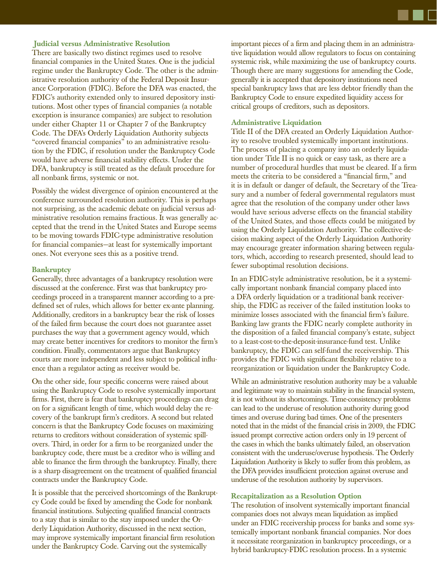## **Judicial versus Administrative Resolution**

There are basically two distinct regimes used to resolve financial companies in the United States. One is the judicial regime under the Bankruptcy Code. The other is the administrative resolution authority of the Federal Deposit Insurance Corporation (FDIC). Before the DFA was enacted, the FDIC's authority extended only to insured depository institutions. Most other types of financial companies (a notable exception is insurance companies) are subject to resolution under either Chapter 11 or Chapter 7 of the Bankruptcy Code. The DFA's Orderly Liquidation Authority subjects "covered financial companies" to an administrative resolution by the FDIC, if resolution under the Bankruptcy Code would have adverse financial stability effects. Under the DFA, bankruptcy is still treated as the default procedure for all nonbank firms, systemic or not.

Possibly the widest divergence of opinion encountered at the conference surrounded resolution authority. This is perhaps not surprising, as the academic debate on judicial versus administrative resolution remains fractious. It was generally accepted that the trend in the United States and Europe seems to be moving towards FDIC-type administrative resolution for financial companies—at least for systemically important ones. Not everyone sees this as a positive trend.

#### **Bankruptcy**

Generally, three advantages of a bankruptcy resolution were discussed at the conference. First was that bankruptcy proceedings proceed in a transparent manner according to a predefined set of rules, which allows for better ex-ante planning. Additionally, creditors in a bankruptcy bear the risk of losses of the failed firm because the court does not guarantee asset purchases the way that a government agency would, which may create better incentives for creditors to monitor the firm's condition. Finally, commentators argue that Bankruptcy courts are more independent and less subject to political influence than a regulator acting as receiver would be.

On the other side, four specific concerns were raised about using the Bankruptcy Code to resolve systemically important firms. First, there is fear that bankruptcy proceedings can drag on for a significant length of time, which would delay the recovery of the bankrupt firm's creditors. A second but related concern is that the Bankruptcy Code focuses on maximizing returns to creditors without consideration of systemic spillovers. Third, in order for a firm to be reorganized under the bankruptcy code, there must be a creditor who is willing and able to finance the firm through the bankruptcy. Finally, there is a sharp disagreement on the treatment of qualified financial contracts under the Bankruptcy Code.

It is possible that the perceived shortcomings of the Bankruptcy Code could be fixed by amending the Code for nonbank financial institutions. Subjecting qualified financial contracts to a stay that is similar to the stay imposed under the Orderly Liquidation Authority, discussed in the next section, may improve systemically important financial firm resolution under the Bankruptcy Code. Carving out the systemically

important pieces of a firm and placing them in an administrative liquidation would allow regulators to focus on containing systemic risk, while maximizing the use of bankruptcy courts. Though there are many suggestions for amending the Code, generally it is accepted that depository institutions need special bankruptcy laws that are less debtor friendly than the Bankruptcy Code to ensure expedited liquidity access for critical groups of creditors, such as depositors.

#### **Administrative Liquidation**

Title II of the DFA created an Orderly Liquidation Authority to resolve troubled systemically important institutions. The process of placing a company into an orderly liquidation under Title II is no quick or easy task, as there are a number of procedural hurdles that must be cleared. If a firm meets the criteria to be considered a "financial firm," and it is in default or danger of default, the Secretary of the Treasury and a number of federal governmental regulators must agree that the resolution of the company under other laws would have serious adverse effects on the financial stability of the United States, and those effects could be mitigated by using the Orderly Liquidation Authority. The collective-decision making aspect of the Orderly Liquidation Authority may encourage greater information sharing between regulators, which, according to research presented, should lead to fewer suboptimal resolution decisions.

In an FDIC-style administrative resolution, be it a systemically important nonbank financial company placed into a DFA orderly liquidation or a traditional bank receivership, the FDIC as receiver of the failed institution looks to minimize losses associated with the financial firm's failure. Banking law grants the FDIC nearly complete authority in the disposition of a failed financial company's estate, subject to a least-cost-to-the-deposit-insurance-fund test. Unlike bankruptcy, the FDIC can self-fund the receivership. This provides the FDIC with significant flexibility relative to a reorganization or liquidation under the Bankruptcy Code.

While an administrative resolution authority may be a valuable and legitimate way to maintain stability in the financial system, it is not without its shortcomings. Time-consistency problems can lead to the underuse of resolution authority during good times and overuse during bad times. One of the presenters noted that in the midst of the financial crisis in 2009, the FDIC issued prompt corrective action orders only in 19 percent of the cases in which the banks ultimately failed, an observation consistent with the underuse/overuse hypothesis. The Orderly Liquidation Authority is likely to suffer from this problem, as the DFA provides insufficient protection against overuse and underuse of the resolution authority by supervisors.

#### **Recapitalization as a Resolution Option**

The resolution of insolvent systemically important financial companies does not always mean liquidation as implied under an FDIC receivership process for banks and some systemically important nonbank financial companies. Nor does it necessitate reorganization in bankruptcy proceedings, or a hybrid bankruptcy-FDIC resolution process. In a systemic